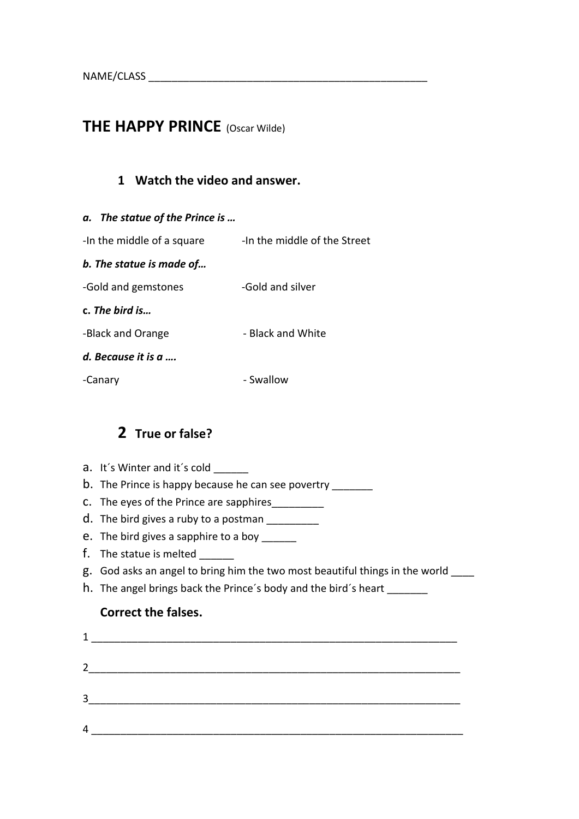# **THE HAPPY PRINCE** (Oscar Wilde)

#### **1 Watch the video and answer.**



### **2 True or false?**

- a. It's Winter and it's cold \_\_\_\_\_\_
- b. The Prince is happy because he can see povertry
- c. The eyes of the Prince are sapphires\_\_\_\_\_\_\_\_\_\_
- d. The bird gives a ruby to a postman \_\_\_\_\_\_\_\_\_\_
- e. The bird gives a sapphire to a boy \_\_\_\_\_\_
- f. The statue is melted
- g. God asks an angel to bring him the two most beautiful things in the world \_\_\_\_
- h. The angel brings back the Prince's body and the bird's heart \_\_\_\_\_\_\_

#### **Correct the falses.**